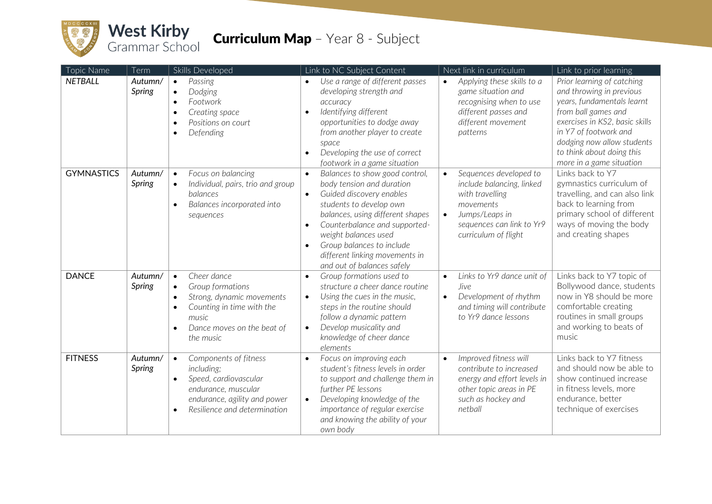

## **Curriculum Map** - Year 8 - Subject

| Topic Name        | Term                     | Skills Developed                                                                                                                                                                                               | Link to NC Subject Content                                                                                                                                                                                                                                                                                                                                       | Next link in curriculum                                                                                                                                    | Link to prior learning                                                                                                                                                                                                                                        |
|-------------------|--------------------------|----------------------------------------------------------------------------------------------------------------------------------------------------------------------------------------------------------------|------------------------------------------------------------------------------------------------------------------------------------------------------------------------------------------------------------------------------------------------------------------------------------------------------------------------------------------------------------------|------------------------------------------------------------------------------------------------------------------------------------------------------------|---------------------------------------------------------------------------------------------------------------------------------------------------------------------------------------------------------------------------------------------------------------|
| <b>NETBALL</b>    | Autumn/<br>Spring        | Passing<br>$\bullet$<br>Dodging<br>$\bullet$<br>Footwork<br>$\bullet$<br>Creating space<br>$\bullet$<br>Positions on court<br>$\bullet$<br>Defending                                                           | Use a range of different passes<br>$\bullet$<br>developing strength and<br>accuracy<br>Identifying different<br>$\bullet$<br>opportunities to dodge away<br>from another player to create<br>space<br>Developing the use of correct<br>$\bullet$<br>footwork in a game situation                                                                                 | Applying these skills to a<br>$\bullet$<br>game situation and<br>recognising when to use<br>different passes and<br>different movement<br>patterns         | Prior learning of catching<br>and throwing in previous<br>years, fundamentals learnt<br>from ball games and<br>exercises in KS2, basic skills<br>in Y7 of footwork and<br>dodging now allow students<br>to think about doing this<br>more in a game situation |
| <b>GYMNASTICS</b> | Autumn/<br><b>Spring</b> | Focus on balancing<br>$\bullet$<br>Individual, pairs, trio and group<br>$\bullet$<br>balances<br>Balances incorporated into<br>$\bullet$<br>sequences                                                          | Balances to show good control,<br>$\bullet$<br>body tension and duration<br>Guided discovery enables<br>$\bullet$<br>students to develop own<br>balances, using different shapes<br>Counterbalance and supported-<br>$\bullet$<br>weight balances used<br>Group balances to include<br>$\bullet$<br>different linking movements in<br>and out of balances safely | Sequences developed to<br>include balancing, linked<br>with travelling<br>movements<br>Jumps/Leaps in<br>sequences can link to Yr9<br>curriculum of flight | Links back to Y7<br>gymnastics curriculum of<br>travelling, and can also link<br>back to learning from<br>primary school of different<br>ways of moving the body<br>and creating shapes                                                                       |
| <b>DANCE</b>      | Autumn/<br><b>Spring</b> | Cheer dance<br>$\bullet$<br>Group formations<br>$\bullet$<br>Strong, dynamic movements<br>$\bullet$<br>Counting in time with the<br>$\bullet$<br>music<br>Dance moves on the beat of<br>$\bullet$<br>the music | Group formations used to<br>$\bullet$<br>structure a cheer dance routine<br>Using the cues in the music,<br>$\bullet$<br>steps in the routine should<br>follow a dynamic pattern<br>Develop musicality and<br>$\bullet$<br>knowledge of cheer dance<br>elements                                                                                                  | Links to Yr9 dance unit of<br>$\bullet$<br><i>live</i><br>Development of rhythm<br>$\bullet$<br>and timing will contribute<br>to Yr9 dance lessons         | Links back to Y7 topic of<br>Bollywood dance, students<br>now in Y8 should be more<br>comfortable creating<br>routines in small groups<br>and working to beats of<br>music                                                                                    |
| <b>FITNESS</b>    | Autumn/<br><b>Spring</b> | Components of fitness<br>$\bullet$<br>including;<br>Speed, cardiovascular<br>$\bullet$<br>endurance, muscular<br>endurance, agility and power<br>Resilience and determination<br>$\bullet$                     | Focus on improving each<br>$\bullet$<br>student's fitness levels in order<br>to support and challenge them in<br>further PE lessons<br>Developing knowledge of the<br>$\bullet$<br>importance of regular exercise<br>and knowing the ability of your<br>own body                                                                                                 | Improved fitness will<br>$\bullet$<br>contribute to increased<br>energy and effort levels in<br>other topic areas in PE<br>such as hockey and<br>netball   | Links back to Y7 fitness<br>and should now be able to<br>show continued increase<br>in fitness levels, more<br>endurance, better<br>technique of exercises                                                                                                    |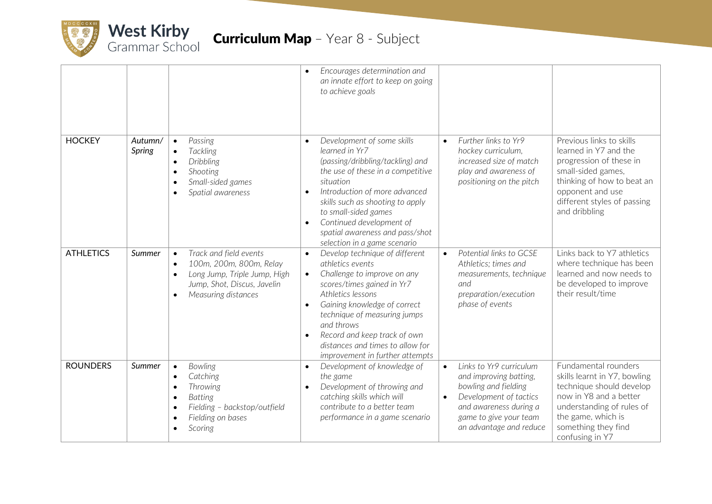

|                  |                   |                                                                                                                                                                                                 | Encourages determination and<br>$\bullet$<br>an innate effort to keep on going<br>to achieve goals                                                                                                                                                                                                                                                                            |                                                                                                                                                                                                              |                                                                                                                                                                                                         |
|------------------|-------------------|-------------------------------------------------------------------------------------------------------------------------------------------------------------------------------------------------|-------------------------------------------------------------------------------------------------------------------------------------------------------------------------------------------------------------------------------------------------------------------------------------------------------------------------------------------------------------------------------|--------------------------------------------------------------------------------------------------------------------------------------------------------------------------------------------------------------|---------------------------------------------------------------------------------------------------------------------------------------------------------------------------------------------------------|
| <b>HOCKEY</b>    | Autumn/<br>Spring | Passing<br>$\bullet$<br><b>Tackling</b><br>$\bullet$<br>Dribbling<br>$\bullet$<br>Shooting<br>$\bullet$<br>Small-sided games<br>$\bullet$<br>Spatial awareness<br>$\bullet$                     | Development of some skills<br>$\bullet$<br>learned in Yr7<br>(passing/dribbling/tackling) and<br>the use of these in a competitive<br>situation<br>Introduction of more advanced<br>$\bullet$<br>skills such as shooting to apply<br>to small-sided games<br>Continued development of<br>$\bullet$<br>spatial awareness and pass/shot<br>selection in a game scenario         | Further links to Yr9<br>$\bullet$<br>hockey curriculum,<br>increased size of match<br>play and awareness of<br>positioning on the pitch                                                                      | Previous links to skills<br>learned in Y7 and the<br>progression of these in<br>small-sided games,<br>thinking of how to beat an<br>opponent and use<br>different styles of passing<br>and dribbling    |
| <b>ATHLETICS</b> | Summer            | Track and field events<br>$\bullet$<br>100m, 200m, 800m, Relay<br>$\bullet$<br>Long Jump, Triple Jump, High<br>$\bullet$<br>Jump, Shot, Discus, Javelin<br>Measuring distances                  | Develop technique of different<br>$\bullet$<br>athletics events<br>Challenge to improve on any<br>$\bullet$<br>scores/times gained in Yr7<br>Athletics lessons<br>Gaining knowledge of correct<br>$\bullet$<br>technique of measuring jumps<br>and throws<br>Record and keep track of own<br>$\bullet$<br>distances and times to allow for<br>improvement in further attempts | Potential links to GCSE<br>$\bullet$<br>Athletics; times and<br>measurements, technique<br>and<br>preparation/execution<br>phase of events                                                                   | Links back to Y7 athletics<br>where technique has been<br>learned and now needs to<br>be developed to improve<br>their result/time                                                                      |
| <b>ROUNDERS</b>  | Summer            | Bowling<br>$\bullet$<br>Catching<br>$\bullet$<br>Throwing<br>$\bullet$<br><b>Batting</b><br>$\bullet$<br>Fielding - backstop/outfield<br>$\bullet$<br>Fielding on bases<br>$\bullet$<br>Scoring | Development of knowledge of<br>$\bullet$<br>the game<br>Development of throwing and<br>$\bullet$<br>catching skills which will<br>contribute to a better team<br>performance in a game scenario                                                                                                                                                                               | Links to Yr9 curriculum<br>$\bullet$<br>and improving batting,<br>bowling and fielding<br>Development of tactics<br>$\bullet$<br>and awareness during a<br>game to give your team<br>an advantage and reduce | Fundamental rounders<br>skills learnt in Y7, bowling<br>technique should develop<br>now in Y8 and a better<br>understanding of rules of<br>the game, which is<br>something they find<br>confusing in Y7 |